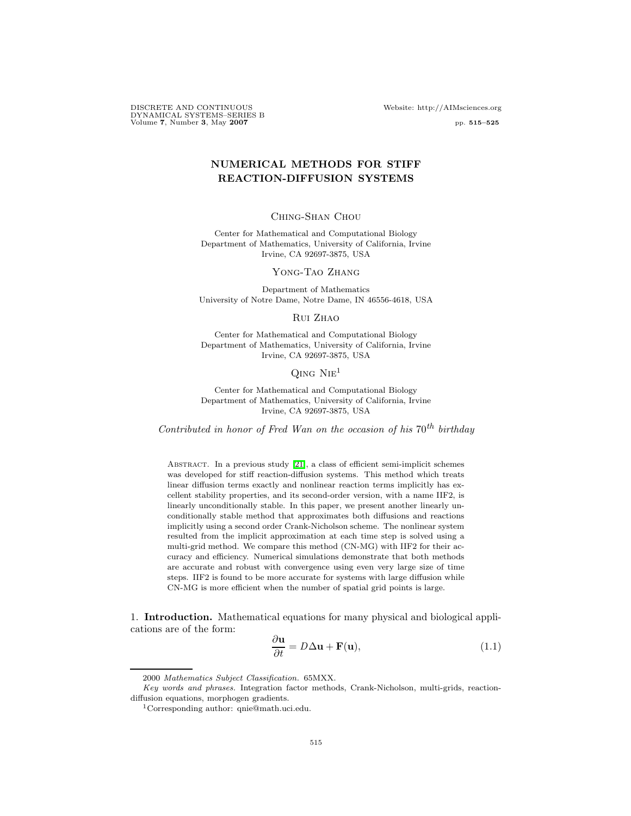DISCRETE AND CONTINUOUS Website: http://AIMsciences.org DYNAMICAL SYSTEMS–SERIES B Volume 7, Number 3, May 2007 pp. 515–525

# NUMERICAL METHODS FOR STIFF REACTION-DIFFUSION SYSTEMS

### Ching-Shan Chou

Center for Mathematical and Computational Biology Department of Mathematics, University of California, Irvine Irvine, CA 92697-3875, USA

Yong-Tao Zhang

Department of Mathematics University of Notre Dame, Notre Dame, IN 46556-4618, USA

#### Rui Zhao

Center for Mathematical and Computational Biology Department of Mathematics, University of California, Irvine Irvine, CA 92697-3875, USA

## $Q$ ing Nie<sup>1</sup>

Center for Mathematical and Computational Biology Department of Mathematics, University of California, Irvine Irvine, CA 92697-3875, USA

Contributed in honor of Fred Wan on the occasion of his  $70^{th}$  birthday

Abstract. In a previous study [\[21\]](#page-10-0), a class of efficient semi-implicit schemes was developed for stiff reaction-diffusion systems. This method which treats linear diffusion terms exactly and nonlinear reaction terms implicitly has excellent stability properties, and its second-order version, with a name IIF2, is linearly unconditionally stable. In this paper, we present another linearly unconditionally stable method that approximates both diffusions and reactions implicitly using a second order Crank-Nicholson scheme. The nonlinear system resulted from the implicit approximation at each time step is solved using a multi-grid method. We compare this method (CN-MG) with IIF2 for their accuracy and efficiency. Numerical simulations demonstrate that both methods are accurate and robust with convergence using even very large size of time steps. IIF2 is found to be more accurate for systems with large diffusion while CN-MG is more efficient when the number of spatial grid points is large.

1. Introduction. Mathematical equations for many physical and biological applications are of the form: ∂u

$$
\frac{\partial \mathbf{u}}{\partial t} = D\Delta \mathbf{u} + \mathbf{F}(\mathbf{u}),\tag{1.1}
$$

<span id="page-0-0"></span><sup>2000</sup> Mathematics Subject Classification. 65MXX.

Key words and phrases. Integration factor methods, Crank-Nicholson, multi-grids, reactiondiffusion equations, morphogen gradients.

<sup>1</sup>Corresponding author: qnie@math.uci.edu.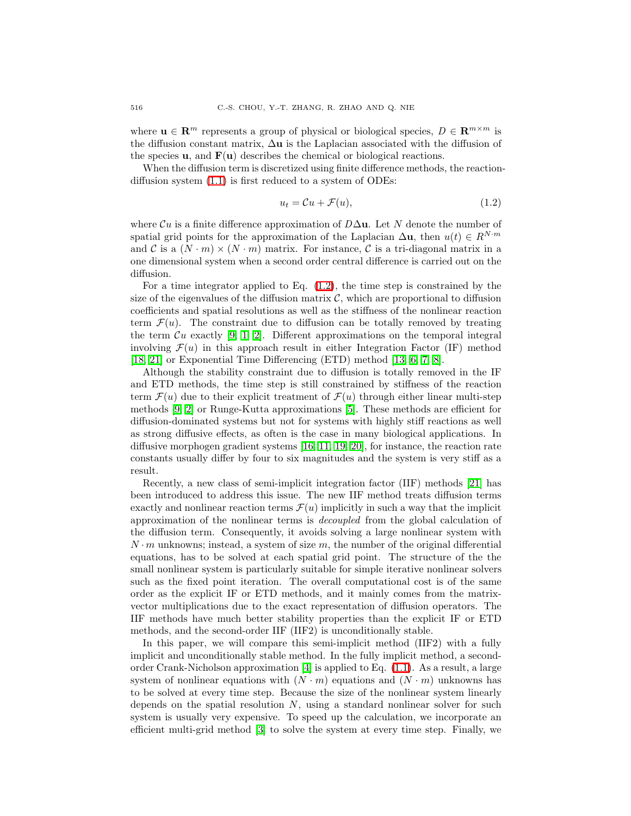where  $\mathbf{u} \in \mathbb{R}^m$  represents a group of physical or biological species,  $D \in \mathbb{R}^{m \times m}$  is the diffusion constant matrix,  $\Delta$ **u** is the Laplacian associated with the diffusion of the species  $\bf{u}$ , and  $\bf{F}(\bf{u})$  describes the chemical or biological reactions.

When the diffusion term is discretized using finite difference methods, the reactiondiffusion system [\(1.1\)](#page-0-0) is first reduced to a system of ODEs:

<span id="page-1-0"></span>
$$
u_t = \mathcal{C}u + \mathcal{F}(u),\tag{1.2}
$$

where  $\mathcal{C}u$  is a finite difference approximation of  $D\Delta$ u. Let N denote the number of spatial grid points for the approximation of the Laplacian  $\Delta u$ , then  $u(t) \in R^{N \cdot m}$ and C is a  $(N \cdot m) \times (N \cdot m)$  matrix. For instance, C is a tri-diagonal matrix in a one dimensional system when a second order central difference is carried out on the diffusion.

For a time integrator applied to Eq.  $(1.2)$ , the time step is constrained by the size of the eigenvalues of the diffusion matrix  $\mathcal{C}$ , which are proportional to diffusion coefficients and spatial resolutions as well as the stiffness of the nonlinear reaction term  $\mathcal{F}(u)$ . The constraint due to diffusion can be totally removed by treating the term  $\mathcal{C}u$  exactly [\[9,](#page-9-0) [1,](#page-9-1) [2\]](#page-9-2). Different approximations on the temporal integral involving  $\mathcal{F}(u)$  in this approach result in either Integration Factor (IF) method [\[18,](#page-9-3) [21\]](#page-10-0) or Exponential Time Differencing (ETD) method [\[13,](#page-9-4) [6,](#page-9-5) [7,](#page-9-6) [8\]](#page-9-7).

Although the stability constraint due to diffusion is totally removed in the IF and ETD methods, the time step is still constrained by stiffness of the reaction term  $\mathcal{F}(u)$  due to their explicit treatment of  $\mathcal{F}(u)$  through either linear multi-step methods [\[9,](#page-9-0) [2\]](#page-9-2) or Runge-Kutta approximations [\[5\]](#page-9-8). These methods are efficient for diffusion-dominated systems but not for systems with highly stiff reactions as well as strong diffusive effects, as often is the case in many biological applications. In diffusive morphogen gradient systems [\[16,](#page-9-9) [11,](#page-9-10) [19,](#page-9-11) [20\]](#page-10-1), for instance, the reaction rate constants usually differ by four to six magnitudes and the system is very stiff as a result.

Recently, a new class of semi-implicit integration factor (IIF) methods [\[21\]](#page-10-0) has been introduced to address this issue. The new IIF method treats diffusion terms exactly and nonlinear reaction terms  $\mathcal{F}(u)$  implicitly in such a way that the implicit approximation of the nonlinear terms is decoupled from the global calculation of the diffusion term. Consequently, it avoids solving a large nonlinear system with  $N \cdot m$  unknowns; instead, a system of size m, the number of the original differential equations, has to be solved at each spatial grid point. The structure of the the small nonlinear system is particularly suitable for simple iterative nonlinear solvers such as the fixed point iteration. The overall computational cost is of the same order as the explicit IF or ETD methods, and it mainly comes from the matrixvector multiplications due to the exact representation of diffusion operators. The IIF methods have much better stability properties than the explicit IF or ETD methods, and the second-order IIF (IIF2) is unconditionally stable.

In this paper, we will compare this semi-implicit method (IIF2) with a fully implicit and unconditionally stable method. In the fully implicit method, a secondorder Crank-Nicholson approximation  $[4]$  is applied to Eq.  $(1.1)$ . As a result, a large system of nonlinear equations with  $(N \cdot m)$  equations and  $(N \cdot m)$  unknowns has to be solved at every time step. Because the size of the nonlinear system linearly depends on the spatial resolution  $N$ , using a standard nonlinear solver for such system is usually very expensive. To speed up the calculation, we incorporate an efficient multi-grid method [\[3\]](#page-9-13) to solve the system at every time step. Finally, we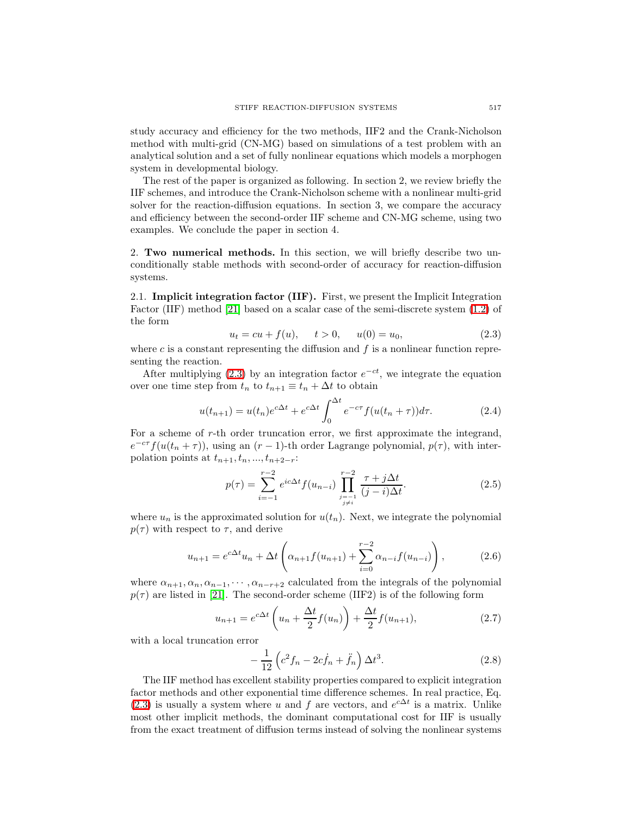study accuracy and efficiency for the two methods, IIF2 and the Crank-Nicholson method with multi-grid (CN-MG) based on simulations of a test problem with an analytical solution and a set of fully nonlinear equations which models a morphogen system in developmental biology.

The rest of the paper is organized as following. In section 2, we review briefly the IIF schemes, and introduce the Crank-Nicholson scheme with a nonlinear multi-grid solver for the reaction-diffusion equations. In section 3, we compare the accuracy and efficiency between the second-order IIF scheme and CN-MG scheme, using two examples. We conclude the paper in section 4.

2. Two numerical methods. In this section, we will briefly describe two unconditionally stable methods with second-order of accuracy for reaction-diffusion systems.

2.1. Implicit integration factor (IIF). First, we present the Implicit Integration Factor (IIF) method [\[21\]](#page-10-0) based on a scalar case of the semi-discrete system [\(1.2\)](#page-1-0) of the form

$$
u_t = cu + f(u), \t t > 0, \t u(0) = u_0,
$$
\t(2.3)

<span id="page-2-0"></span>where c is a constant representing the diffusion and  $f$  is a nonlinear function representing the reaction.

After multiplying [\(2.3\)](#page-2-0) by an integration factor  $e^{-ct}$ , we integrate the equation over one time step from  $t_n$  to  $t_{n+1} \equiv t_n + \Delta t$  to obtain

$$
u(t_{n+1}) = u(t_n)e^{c\Delta t} + e^{c\Delta t} \int_0^{\Delta t} e^{-c\tau} f(u(t_n + \tau))d\tau.
$$
 (2.4)

<span id="page-2-3"></span>For a scheme of r-th order truncation error, we first approximate the integrand,  $e^{-c\tau} f(u(t_n + \tau))$ , using an  $(r - 1)$ -th order Lagrange polynomial,  $p(\tau)$ , with interpolation points at  $t_{n+1}, t_n, ..., t_{n+2-r}$ :

$$
p(\tau) = \sum_{i=-1}^{r-2} e^{ic\Delta t} f(u_{n-i}) \prod_{\substack{j=-1 \ j \neq i}}^{r-2} \frac{\tau + j\Delta t}{(j-i)\Delta t}.
$$
 (2.5)

where  $u_n$  is the approximated solution for  $u(t_n)$ . Next, we integrate the polynomial  $p(\tau)$  with respect to  $\tau$ , and derive

$$
u_{n+1} = e^{c\Delta t}u_n + \Delta t \left(\alpha_{n+1}f(u_{n+1}) + \sum_{i=0}^{r-2} \alpha_{n-i}f(u_{n-i})\right),
$$
 (2.6)

where  $\alpha_{n+1}, \alpha_n, \alpha_{n-1}, \cdots, \alpha_{n-r+2}$  calculated from the integrals of the polynomial  $p(\tau)$  are listed in [\[21\]](#page-10-0). The second-order scheme (IIF2) is of the following form

$$
u_{n+1} = e^{c\Delta t} \left( u_n + \frac{\Delta t}{2} f(u_n) \right) + \frac{\Delta t}{2} f(u_{n+1}),
$$
\n(2.7)

<span id="page-2-2"></span><span id="page-2-1"></span>with a local truncation error

$$
-\frac{1}{12}\left(c^2f_n - 2cf_n + \ddot{f}_n\right)\Delta t^3.
$$
\n(2.8)

The IIF method has excellent stability properties compared to explicit integration factor methods and other exponential time difference schemes. In real practice, Eq. [\(2.3\)](#page-2-0) is usually a system where u and f are vectors, and  $e^{c\Delta t}$  is a matrix. Unlike most other implicit methods, the dominant computational cost for IIF is usually from the exact treatment of diffusion terms instead of solving the nonlinear systems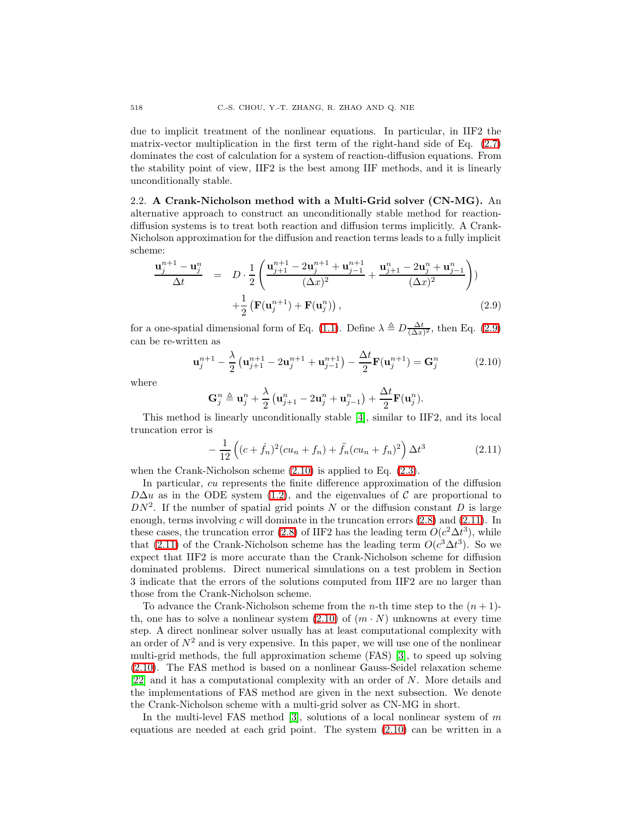due to implicit treatment of the nonlinear equations. In particular, in IIF2 the matrix-vector multiplication in the first term of the right-hand side of Eq.  $(2.7)$ dominates the cost of calculation for a system of reaction-diffusion equations. From the stability point of view, IIF2 is the best among IIF methods, and it is linearly unconditionally stable.

2.2. A Crank-Nicholson method with a Multi-Grid solver (CN-MG). An alternative approach to construct an unconditionally stable method for reactiondiffusion systems is to treat both reaction and diffusion terms implicitly. A Crank-Nicholson approximation for the diffusion and reaction terms leads to a fully implicit scheme:

$$
\frac{\mathbf{u}_{j}^{n+1} - \mathbf{u}_{j}^{n}}{\Delta t} = D \cdot \frac{1}{2} \left( \frac{\mathbf{u}_{j+1}^{n+1} - 2\mathbf{u}_{j}^{n+1} + \mathbf{u}_{j-1}^{n+1}}{(\Delta x)^{2}} + \frac{\mathbf{u}_{j+1}^{n} - 2\mathbf{u}_{j}^{n} + \mathbf{u}_{j-1}^{n}}{(\Delta x)^{2}} \right) + \frac{1}{2} \left( \mathbf{F}(\mathbf{u}_{j}^{n+1}) + \mathbf{F}(\mathbf{u}_{j}^{n}) \right),
$$
\n(2.9)

<span id="page-3-0"></span>for a one-spatial dimensional form of Eq. [\(1.1\)](#page-0-0). Define  $\lambda \triangleq D \frac{\Delta t}{(\Delta x)^2}$ , then Eq. [\(2.9\)](#page-3-0) can be re-written as

$$
\mathbf{u}_{j}^{n+1} - \frac{\lambda}{2} \left( \mathbf{u}_{j+1}^{n+1} - 2\mathbf{u}_{j}^{n+1} + \mathbf{u}_{j-1}^{n+1} \right) - \frac{\Delta t}{2} \mathbf{F}(\mathbf{u}_{j}^{n+1}) = \mathbf{G}_{j}^{n}
$$
 (2.10)

<span id="page-3-1"></span>where

$$
\mathbf{G}_{j}^{n} \triangleq \mathbf{u}_{j}^{n} + \frac{\lambda}{2} \left( \mathbf{u}_{j+1}^{n} - 2\mathbf{u}_{j}^{n} + \mathbf{u}_{j-1}^{n} \right) + \frac{\Delta t}{2} \mathbf{F}(\mathbf{u}_{j}^{n}).
$$

This method is linearly unconditionally stable [\[4\]](#page-9-12), similar to IIF2, and its local truncation error is

$$
-\frac{1}{12}\left((c+\dot{f}_n)^2(cu_n+f_n)+\ddot{f}_n(cu_n+f_n)^2\right)\Delta t^3\tag{2.11}
$$

<span id="page-3-2"></span>when the Crank-Nicholson scheme  $(2.10)$  is applied to Eq.  $(2.3)$ .

In particular, cu represents the finite difference approximation of the diffusion  $D\Delta u$  as in the ODE system [\(1.2\)](#page-1-0), and the eigenvalues of C are proportional to  $DN^2$ . If the number of spatial grid points N or the diffusion constant D is large enough, terms involving c will dominate in the truncation errors  $(2.8)$  and  $(2.11)$ . In these cases, the truncation error [\(2.8\)](#page-2-2) of IIF2 has the leading term  $O(c^2\Delta t^3)$ , while that [\(2.11\)](#page-3-2) of the Crank-Nicholson scheme has the leading term  $O(c^3\Delta t^3)$ . So we expect that IIF2 is more accurate than the Crank-Nicholson scheme for diffusion dominated problems. Direct numerical simulations on a test problem in Section 3 indicate that the errors of the solutions computed from IIF2 are no larger than those from the Crank-Nicholson scheme.

To advance the Crank-Nicholson scheme from the *n*-th time step to the  $(n+1)$ th, one has to solve a nonlinear system  $(2.10)$  of  $(m \cdot N)$  unknowns at every time step. A direct nonlinear solver usually has at least computational complexity with an order of  $N^2$  and is very expensive. In this paper, we will use one of the nonlinear multi-grid methods, the full approximation scheme (FAS) [\[3\]](#page-9-13), to speed up solving [\(2.10\)](#page-3-1). The FAS method is based on a nonlinear Gauss-Seidel relaxation scheme [\[22\]](#page-10-2) and it has a computational complexity with an order of N. More details and the implementations of FAS method are given in the next subsection. We denote the Crank-Nicholson scheme with a multi-grid solver as CN-MG in short.

In the multi-level FAS method [\[3\]](#page-9-13), solutions of a local nonlinear system of  $m$ equations are needed at each grid point. The system [\(2.10\)](#page-3-1) can be written in a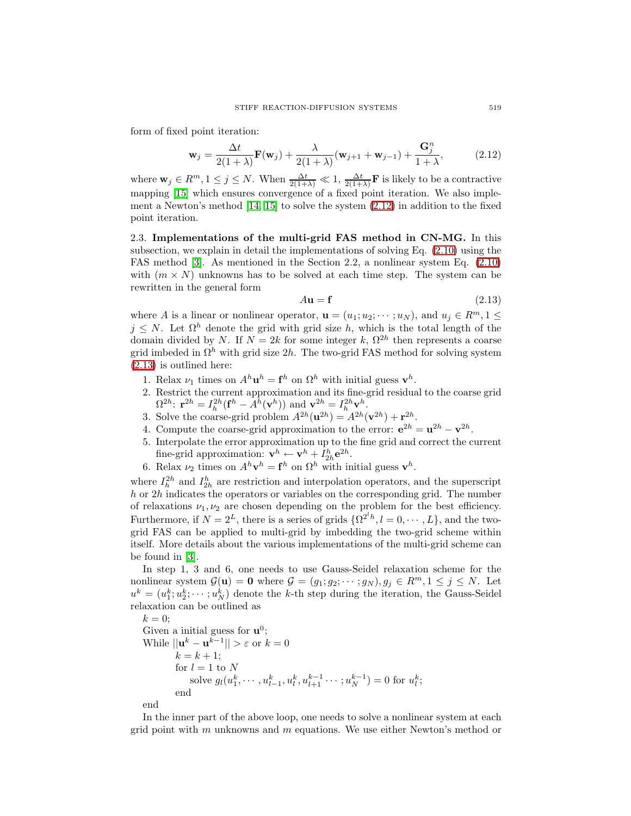<span id="page-4-0"></span>form of fixed point iteration:

$$
\mathbf{w}_{j} = \frac{\Delta t}{2(1+\lambda)} \mathbf{F}(\mathbf{w}_{j}) + \frac{\lambda}{2(1+\lambda)} (\mathbf{w}_{j+1} + \mathbf{w}_{j-1}) + \frac{\mathbf{G}_{j}^{n}}{1+\lambda},
$$
(2.12)

where  $\mathbf{w}_j \in R^m, 1 \leq j \leq N$ . When  $\frac{\Delta t}{2(1+\lambda)} \ll 1$ ,  $\frac{\Delta t}{2(1+\lambda)} \mathbf{F}$  is likely to be a contractive mapping [\[15\]](#page-9-14) which ensures convergence of a fixed point iteration. We also implement a Newton's method [\[14,](#page-9-15) [15\]](#page-9-14) to solve the system [\(2.12\)](#page-4-0) in addition to the fixed point iteration.

2.3. Implementations of the multi-grid FAS method in CN-MG. In this subsection, we explain in detail the implementations of solving Eq. [\(2.10\)](#page-3-1) using the FAS method [\[3\]](#page-9-13). As mentioned in the Section 2.2, a nonlinear system Eq. [\(2.10\)](#page-3-1) with  $(m \times N)$  unknowns has to be solved at each time step. The system can be rewritten in the general form

<span id="page-4-1"></span>
$$
A\mathbf{u} = \mathbf{f} \tag{2.13}
$$

where A is a linear or nonlinear operator,  $\mathbf{u} = (u_1; u_2; \dots; u_N)$ , and  $u_j \in \mathbb{R}^m, 1 \leq$  $j \leq N$ . Let  $\Omega^h$  denote the grid with grid size h, which is the total length of the domain divided by N. If  $N = 2k$  for some integer k,  $\Omega^{2h}$  then represents a coarse grid imbeded in  $\Omega^h$  with grid size 2h. The two-grid FAS method for solving system [\(2.13\)](#page-4-1) is outlined here:

- 1. Relax  $\nu_1$  times on  $A^h \mathbf{u}^h = \mathbf{f}^h$  on  $\Omega^h$  with initial guess  $\mathbf{v}^h$ .
- 2. Restrict the current approximation and its fine-grid residual to the coarse grid  $\Omega^{2h}$ :  $\mathbf{r}^{2h} = I_h^{2h}(\mathbf{f}^h - A^h(\mathbf{v}^h))$  and  $\mathbf{v}^{2h} = I_h^{2h}\mathbf{v}^h$ .
- 3. Solve the coarse-grid problem  $A^{2h}(\mathbf{u}^{2h}) = A^{2h}(\mathbf{v}^{2h}) + \mathbf{r}^{2h}$ .
- 4. Compute the coarse-grid approximation to the error:  $e^{2h} = u^{2h} v^{2h}$ .
- 5. Interpolate the error approximation up to the fine grid and correct the current fine-grid approximation:  $\mathbf{v}^h \leftarrow \mathbf{v}^h + I_{2h}^h \mathbf{e}^{2h}$ .
- 6. Relax  $\nu_2$  times on  $A^h \mathbf{v}^h = \mathbf{f}^h$  on  $\Omega^h$  with initial guess  $\mathbf{v}^h$ .

where  $I_h^{2h}$  and  $I_{2h}^h$  are restriction and interpolation operators, and the superscript  $h$  or  $2h$  indicates the operators or variables on the corresponding grid. The number of relaxations  $\nu_1, \nu_2$  are chosen depending on the problem for the best efficiency. Furthermore, if  $N = 2^L$ , there is a series of grids  $\{\Omega^{2^l h}, l = 0, \dots, L\}$ , and the twogrid FAS can be applied to multi-grid by imbedding the two-grid scheme within itself. More details about the various implementations of the multi-grid scheme can be found in [\[3\]](#page-9-13).

In step 1, 3 and 6, one needs to use Gauss-Seidel relaxation scheme for the nonlinear system  $\mathcal{G}(\mathbf{u}) = \mathbf{0}$  where  $\mathcal{G} = (g_1; g_2; \dots; g_N)$ ,  $g_j \in \mathbb{R}^m$ ,  $1 \leq j \leq N$ . Let  $u^k = (u_1^k; u_2^k; \dots; u_N^k)$  denote the k-th step during the iteration, the Gauss-Seidel relaxation can be outlined as

 $k = 0;$ Given a initial guess for  $\mathbf{u}^0$ ; While  $||\mathbf{u}^k - \mathbf{u}^{\overline{k-1}}|| > \varepsilon$  or  $k = 0$  $k = k + 1;$ for  $l=1$  to  ${\cal N}$ solve  $g_l(u_1^k, \dots, u_{l-1}^k, u_l^k, u_{l+1}^{k-1} \dots, u_N^{k-1}) = 0$  for  $u_l^k$ ; end

end

In the inner part of the above loop, one needs to solve a nonlinear system at each grid point with  $m$  unknowns and  $m$  equations. We use either Newton's method or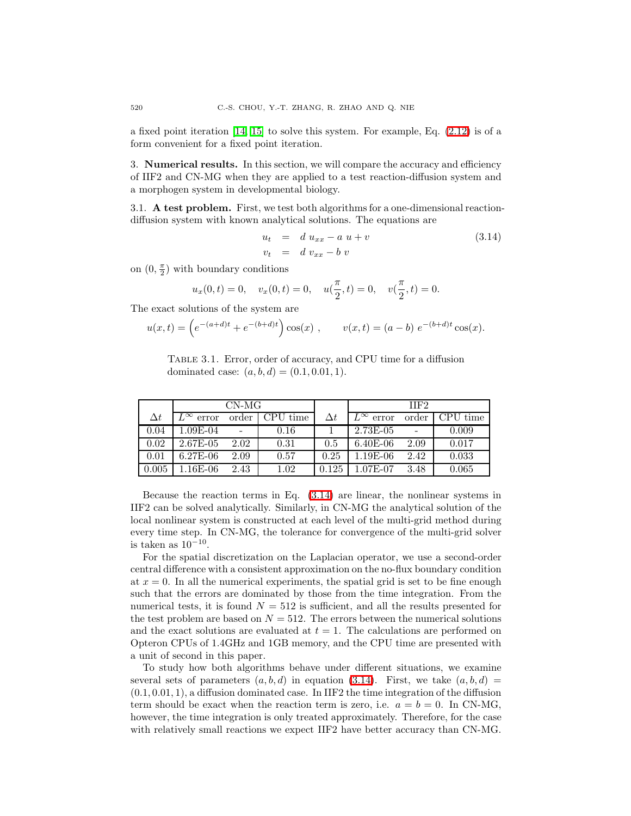a fixed point iteration [\[14,](#page-9-15) [15\]](#page-9-14) to solve this system. For example, Eq. [\(2.12\)](#page-4-0) is of a form convenient for a fixed point iteration.

3. Numerical results. In this section, we will compare the accuracy and efficiency of IIF2 and CN-MG when they are applied to a test reaction-diffusion system and a morphogen system in developmental biology.

3.1. A test problem. First, we test both algorithms for a one-dimensional reactiondiffusion system with known analytical solutions. The equations are

$$
u_t = d u_{xx} - a u + v
$$
  
\n
$$
v_t = d v_{xx} - b v
$$
\n(3.14)

on  $(0, \frac{\pi}{2})$  with boundary conditions

<span id="page-5-0"></span>
$$
u_x(0,t) = 0
$$
,  $v_x(0,t) = 0$ ,  $u(\frac{\pi}{2}, t) = 0$ ,  $v(\frac{\pi}{2}, t) = 0$ .

The exact solutions of the system are

$$
u(x,t) = \left(e^{-(a+d)t} + e^{-(b+d)t}\right)\cos(x), \qquad v(x,t) = (a-b) e^{-(b+d)t}\cos(x).
$$

<span id="page-5-1"></span>Table 3.1. Error, order of accuracy, and CPU time for a diffusion dominated case:  $(a, b, d) = (0.1, 0.01, 1).$ 

|            | $CN-MG$               |       |          |       | IIF <sub>2</sub>   |       |                              |
|------------|-----------------------|-------|----------|-------|--------------------|-------|------------------------------|
| $\Delta t$ | $L^{\infty}$<br>error | order | CPU time | Λt    | $L^{\infty}$ error | order | $\overline{\text{CPU time}}$ |
| 0.04       | 1.09E-04              |       | 0.16     |       | $2.73E-05$         |       | 0.009                        |
| 0.02       | 2.67E-05              | 2.02  | 0.31     | 0.5   | $6.40E-06$         | 2.09  | 0.017                        |
| 0.01       | $6.27E-06$            | 2.09  | 0.57     | 0.25  | $1.19E-06$         | 2.42  | 0.033                        |
| 0.005      | $1.16E-06$            | 2.43  | 1.02     | 0.125 | 1.07E-07           | 3.48  | 0.065                        |

Because the reaction terms in Eq.  $(3.14)$  are linear, the nonlinear systems in IIF2 can be solved analytically. Similarly, in CN-MG the analytical solution of the local nonlinear system is constructed at each level of the multi-grid method during every time step. In CN-MG, the tolerance for convergence of the multi-grid solver is taken as  $10^{-10}$ .

For the spatial discretization on the Laplacian operator, we use a second-order central difference with a consistent approximation on the no-flux boundary condition at  $x = 0$ . In all the numerical experiments, the spatial grid is set to be fine enough such that the errors are dominated by those from the time integration. From the numerical tests, it is found  $N = 512$  is sufficient, and all the results presented for the test problem are based on  $N = 512$ . The errors between the numerical solutions and the exact solutions are evaluated at  $t = 1$ . The calculations are performed on Opteron CPUs of 1.4GHz and 1GB memory, and the CPU time are presented with a unit of second in this paper.

To study how both algorithms behave under different situations, we examine several sets of parameters  $(a, b, d)$  in equation [\(3.14\)](#page-5-0). First, we take  $(a, b, d)$  =  $(0.1, 0.01, 1)$ , a diffusion dominated case. In IIF2 the time integration of the diffusion term should be exact when the reaction term is zero, i.e.  $a = b = 0$ . In CN-MG, however, the time integration is only treated approximately. Therefore, for the case with relatively small reactions we expect IIF2 have better accuracy than CN-MG.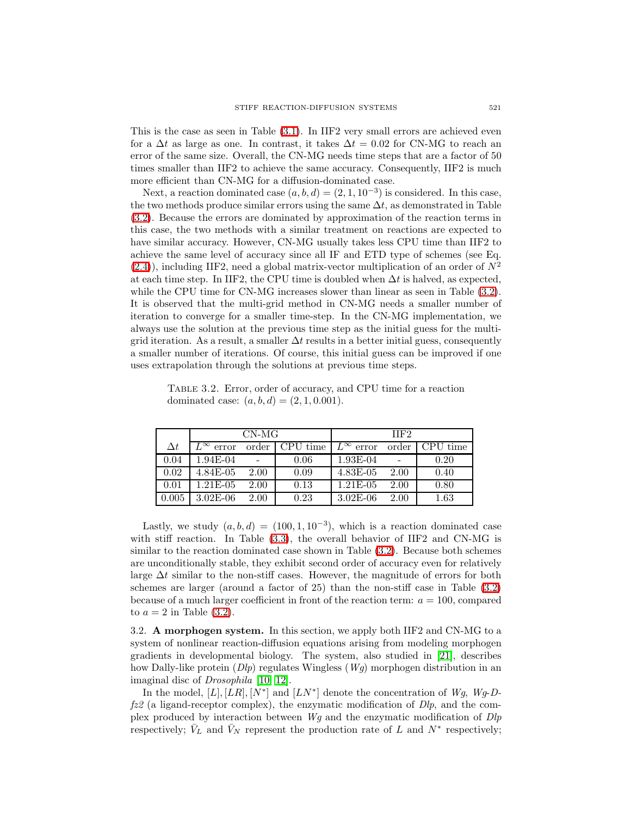This is the case as seen in Table [\(3.1\)](#page-5-1). In IIF2 very small errors are achieved even for a  $\Delta t$  as large as one. In contrast, it takes  $\Delta t = 0.02$  for CN-MG to reach an error of the same size. Overall, the CN-MG needs time steps that are a factor of 50 times smaller than IIF2 to achieve the same accuracy. Consequently, IIF2 is much more efficient than CN-MG for a diffusion-dominated case.

Next, a reaction dominated case  $(a, b, d) = (2, 1, 10^{-3})$  is considered. In this case, the two methods produce similar errors using the same  $\Delta t$ , as demonstrated in Table [\(3.2\)](#page-6-0). Because the errors are dominated by approximation of the reaction terms in this case, the two methods with a similar treatment on reactions are expected to have similar accuracy. However, CN-MG usually takes less CPU time than IIF2 to achieve the same level of accuracy since all IF and ETD type of schemes (see Eq.  $(2.4)$ , including IIF2, need a global matrix-vector multiplication of an order of  $N^2$ at each time step. In IIF2, the CPU time is doubled when  $\Delta t$  is halved, as expected, while the CPU time for CN-MG increases slower than linear as seen in Table  $(3.2)$ . It is observed that the multi-grid method in CN-MG needs a smaller number of iteration to converge for a smaller time-step. In the CN-MG implementation, we always use the solution at the previous time step as the initial guess for the multigrid iteration. As a result, a smaller  $\Delta t$  results in a better initial guess, consequently a smaller number of iterations. Of course, this initial guess can be improved if one uses extrapolation through the solutions at previous time steps.

<span id="page-6-0"></span>Table 3.2. Error, order of accuracy, and CPU time for a reaction dominated case:  $(a, b, d) = (2, 1, 0.001)$ .

|            |                       | CN-MG          |          | IIF <sub>2</sub>   |       |          |  |
|------------|-----------------------|----------------|----------|--------------------|-------|----------|--|
| $\Delta t$ | $L^{\infty}$<br>error | order          | CPU time | $L^{\infty}$ error | order | time     |  |
| 0.04       | 1.94E-04              | $\blacksquare$ | 0.06     | 1.93E-04           |       | 0.20     |  |
| 0.02       | 4.84E-05              | 2.00           | 0.09     | $4.83E-05$         | 2.00  | 0.40     |  |
| 0.01       | $1.21E-05$            | 2.00           | 0.13     | $1.21E-05$         | 2.00  | 0.80     |  |
| 0.005      | $3.02E-06$            | 2.00           | 0.23     | $3.02E-06$         | 2.00  | $1.63\,$ |  |

Lastly, we study  $(a, b, d) = (100, 1, 10^{-3})$ , which is a reaction dominated case with stiff reaction. In Table [\(3.3\)](#page-7-0), the overall behavior of IIF2 and CN-MG is similar to the reaction dominated case shown in Table [\(3.2\)](#page-6-0). Because both schemes are unconditionally stable, they exhibit second order of accuracy even for relatively large  $\Delta t$  similar to the non-stiff cases. However, the magnitude of errors for both schemes are larger (around a factor of 25) than the non-stiff case in Table [\(3.2\)](#page-6-0) because of a much larger coefficient in front of the reaction term:  $a = 100$ , compared to  $a = 2$  in Table [\(3.2\)](#page-6-0).

3.2. A morphogen system. In this section, we apply both IIF2 and CN-MG to a system of nonlinear reaction-diffusion equations arising from modeling morphogen gradients in developmental biology. The system, also studied in [\[21\]](#page-10-0), describes how Dally-like protein  $(Dlp)$  regulates Wingless  $(Wg)$  morphogen distribution in an imaginal disc of Drosophila [\[10,](#page-9-16) [12\]](#page-9-17).

In the model, [L], [LR], [N<sup>\*</sup>] and [LN<sup>\*</sup>] denote the concentration of Wg, Wg-D $fz2$  (a ligand-receptor complex), the enzymatic modification of  $Dlp$ , and the complex produced by interaction between  $W_g$  and the enzymatic modification of  $Dlp$ respectively;  $\bar{V}_L$  and  $\bar{V}_N$  represent the production rate of L and  $N^*$  respectively;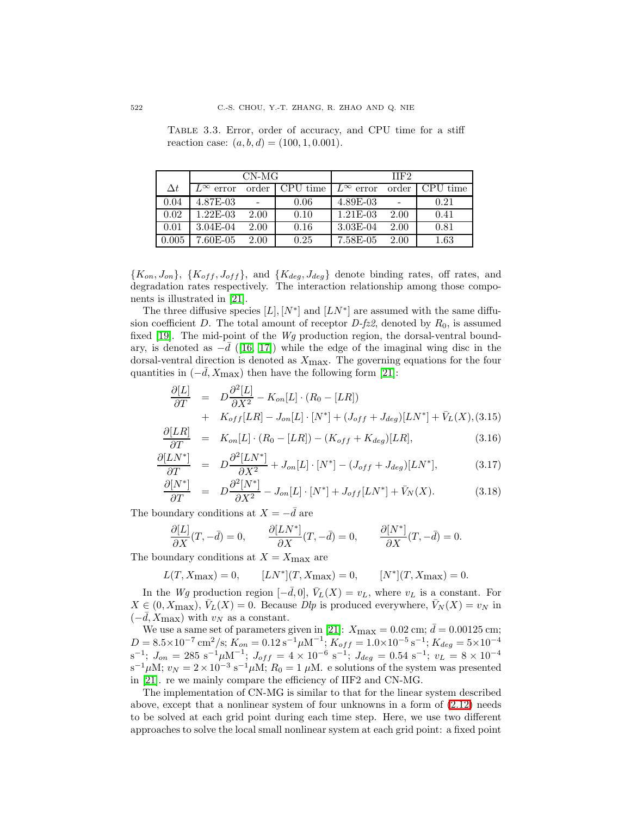<span id="page-7-0"></span>Table 3.3. Error, order of accuracy, and CPU time for a stiff reaction case:  $(a, b, d) = (100, 1, 0.001)$ .

|            |                       | CN-MG |          | IIF <sub>2</sub>              |       |          |  |
|------------|-----------------------|-------|----------|-------------------------------|-------|----------|--|
| $\Delta t$ | $L^{\infty}$<br>error | order | CPU time | $\overline{L}^{\infty}$ error | order | CPU time |  |
| 0.04       | 4.87E-03              |       | 0.06     | $4.89E-03$                    |       | 0.21     |  |
| 0.02       | $1.22E-03$            | 2.00  | 0.10     | $1.21E-0.3$                   | 2.00  | 0.41     |  |
| 0.01       | $3.04E-04$            | 2.00  | 0.16     | $3.03E-04$                    | 2.00  | 0.81     |  |
| 0.005      | 7.60E-05              | 2.00  | 0.25     | 7.58E-05                      | 2.00  | 1.63     |  |

 ${K_{on}, J_{on}}, {K_{off}, J_{off}}$ , and  ${K_{deg}, J_{deg}}$  denote binding rates, off rates, and degradation rates respectively. The interaction relationship among those components is illustrated in [\[21\]](#page-10-0).

The three diffusive species  $[L], [N^*]$  and  $[LN^*]$  are assumed with the same diffusion coefficient D. The total amount of receptor  $D$ -fz2, denoted by  $R_0$ , is assumed fixed [\[19\]](#page-9-11). The mid-point of the Wg production region, the dorsal-ventral boundary, is denoted as  $-d$  ([\[16,](#page-9-9) [17\]](#page-9-18)) while the edge of the imaginal wing disc in the dorsal-ventral direction is denoted as  $X_{\text{max}}$ . The governing equations for the four quantities in  $(-d, X_{\text{max}})$  then have the following form [\[21\]](#page-10-0):

$$
\frac{\partial [L]}{\partial T} = D \frac{\partial^2 [L]}{\partial X^2} - K_{on}[L] \cdot (R_0 - [LR])
$$
  
+ 
$$
K_{off}[LR] - J_{on}[L] \cdot [N^*] + (J_{off} + J_{deg})[LN^*] + \bar{V}_L(X), (3.15)
$$

$$
\frac{\partial [LR]}{\partial T} = K_{on}[L] \cdot (R_0 - [LR]) - (K_{off} + K_{deg})[LR], \qquad (3.16)
$$

$$
\frac{\partial [LN^*]}{\partial T} = D \frac{\partial^2 [LN^*]}{\partial X^2} + J_{on}[L] \cdot [N^*] - (J_{off} + J_{deg})[LN^*],\tag{3.17}
$$

$$
\frac{\partial [N^*]}{\partial T} = D \frac{\partial^2 [N^*]}{\partial X^2} - J_{on}[L] \cdot [N^*] + J_{off}[LN^*] + \bar{V}_N(X). \tag{3.18}
$$

The boundary conditions at  $X = -\bar{d}$  are

$$
\frac{\partial [L]}{\partial X}(T,-\bar d)=0, \qquad \frac{\partial [LN^*]}{\partial X}(T,-\bar d)=0, \qquad \frac{\partial [N^*]}{\partial X}(T,-\bar d)=0.
$$

The boundary conditions at  $X = X_{\text{max}}$  are

$$
L(T, X_{\text{max}}) = 0,
$$
  $[LN^*](T, X_{\text{max}}) = 0,$   $[N^*](T, X_{\text{max}}) = 0.$ 

In the Wg production region  $[-d, 0], V_L(X) = v_L$ , where  $v_L$  is a constant. For  $X \in (0, X_{\text{max}}), \overline{V}_L(X) = 0.$  Because  $Dlp$  is produced everywhere,  $\overline{V}_N(X) = v_N$  in  $(-\bar{d}, X_{\text{max}})$  with  $v_N$  as a constant.

We use a same set of parameters given in [\[21\]](#page-10-0):  $X_{\text{max}} = 0.02 \text{ cm}; \bar{d} = 0.00125 \text{ cm};$  $D = 8.5 \times 10^{-7} \text{ cm}^2/\text{s}; K_{on} = 0.12 \text{ s}^{-1} \mu \text{M}^{-1}; K_{off} = 1.0 \times 10^{-5} \text{ s}^{-1}; K_{deg} = 5 \times 10^{-4}$  $s^{-1}$ ;  $J_{on} = 285 s^{-1} \mu M^{-1}$ ;  $J_{off} = 4 \times 10^{-6} s^{-1}$ ;  $J_{deg} = 0.54 s^{-1}$ ;  $v_L = 8 \times 10^{-4}$  $s^{-1}\mu\text{M}; v_N = 2 \times 10^{-3} \text{ s}^{-1}\mu\text{M}; R_0 = 1 \mu\text{M}.$  e solutions of the system was presented in [\[21\]](#page-10-0). re we mainly compare the efficiency of IIF2 and CN-MG.

The implementation of CN-MG is similar to that for the linear system described above, except that a nonlinear system of four unknowns in a form of [\(2.12\)](#page-4-0) needs to be solved at each grid point during each time step. Here, we use two different approaches to solve the local small nonlinear system at each grid point: a fixed point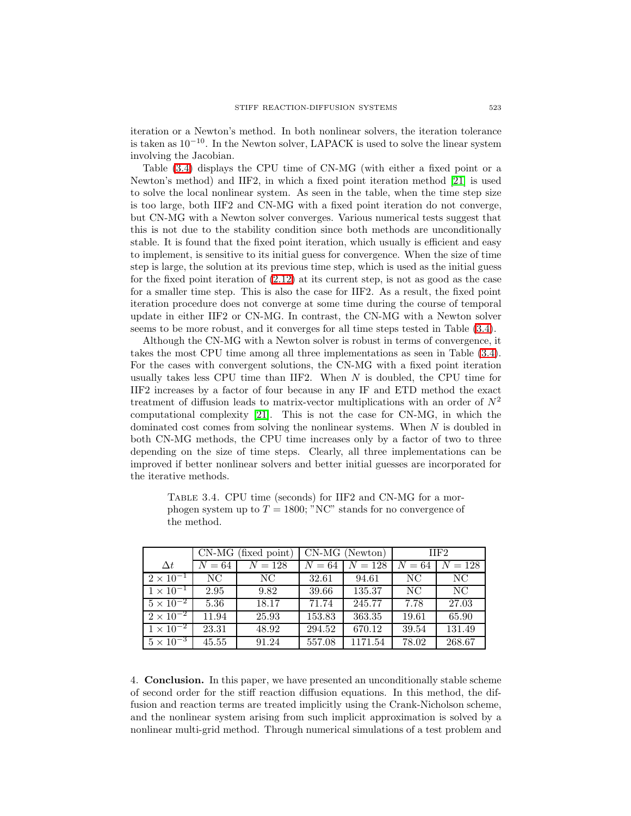iteration or a Newton's method. In both nonlinear solvers, the iteration tolerance is taken as 10−10. In the Newton solver, LAPACK is used to solve the linear system involving the Jacobian.

Table [\(3.4\)](#page-8-0) displays the CPU time of CN-MG (with either a fixed point or a Newton's method) and IIF2, in which a fixed point iteration method [\[21\]](#page-10-0) is used to solve the local nonlinear system. As seen in the table, when the time step size is too large, both IIF2 and CN-MG with a fixed point iteration do not converge, but CN-MG with a Newton solver converges. Various numerical tests suggest that this is not due to the stability condition since both methods are unconditionally stable. It is found that the fixed point iteration, which usually is efficient and easy to implement, is sensitive to its initial guess for convergence. When the size of time step is large, the solution at its previous time step, which is used as the initial guess for the fixed point iteration of [\(2.12\)](#page-4-0) at its current step, is not as good as the case for a smaller time step. This is also the case for IIF2. As a result, the fixed point iteration procedure does not converge at some time during the course of temporal update in either IIF2 or CN-MG. In contrast, the CN-MG with a Newton solver seems to be more robust, and it converges for all time steps tested in Table [\(3.4\)](#page-8-0).

Although the CN-MG with a Newton solver is robust in terms of convergence, it takes the most CPU time among all three implementations as seen in Table [\(3.4\)](#page-8-0). For the cases with convergent solutions, the CN-MG with a fixed point iteration usually takes less CPU time than IIF2. When  $N$  is doubled, the CPU time for IIF2 increases by a factor of four because in any IF and ETD method the exact treatment of diffusion leads to matrix-vector multiplications with an order of  $N^2$ computational complexity [\[21\]](#page-10-0). This is not the case for CN-MG, in which the dominated cost comes from solving the nonlinear systems. When N is doubled in both CN-MG methods, the CPU time increases only by a factor of two to three depending on the size of time steps. Clearly, all three implementations can be improved if better nonlinear solvers and better initial guesses are incorporated for the iterative methods.

|                               | $CN-MG$<br>(fixed point) |         |        | $CN-MG$ (Newton) | $\Pi F2$ |         |
|-------------------------------|--------------------------|---------|--------|------------------|----------|---------|
| $\Delta t$                    | $N=64$                   | $N=128$ | $N=64$ | $N = 128$        | $N=64$   | $N=128$ |
| $2 \times 10^{-1}$            | NC.                      | NC.     | 32.61  | 94.61            | NC.      | NC.     |
| $1 \times 10^{-1}$            | 2.95                     | 9.82    | 39.66  | 135.37           | NC.      | NC.     |
| $5 \times \overline{10^{-2}}$ | 5.36                     | 18.17   | 71.74  | 245.77           | 7.78     | 27.03   |
| $2 \times 10^{-2}$            | 11.94                    | 25.93   | 153.83 | 363.35           | 19.61    | 65.90   |
| $1 \times \overline{10^{-2}}$ | 23.31                    | 48.92   | 294.52 | 670.12           | 39.54    | 131.49  |
| $5 \times 10^{-3}$            | 45.55                    | 91.24   | 557.08 | 1171.54          | 78.02    | 268.67  |

<span id="page-8-0"></span>Table 3.4. CPU time (seconds) for IIF2 and CN-MG for a morphogen system up to  $T = 1800$ ; "NC" stands for no convergence of the method.

4. Conclusion. In this paper, we have presented an unconditionally stable scheme of second order for the stiff reaction diffusion equations. In this method, the diffusion and reaction terms are treated implicitly using the Crank-Nicholson scheme, and the nonlinear system arising from such implicit approximation is solved by a nonlinear multi-grid method. Through numerical simulations of a test problem and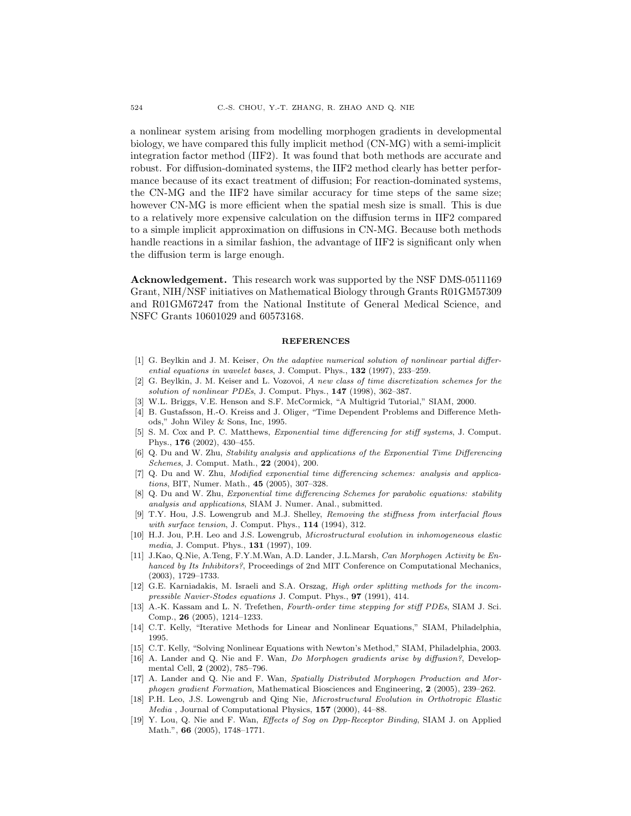a nonlinear system arising from modelling morphogen gradients in developmental biology, we have compared this fully implicit method (CN-MG) with a semi-implicit integration factor method (IIF2). It was found that both methods are accurate and robust. For diffusion-dominated systems, the IIF2 method clearly has better performance because of its exact treatment of diffusion; For reaction-dominated systems, the CN-MG and the IIF2 have similar accuracy for time steps of the same size; however CN-MG is more efficient when the spatial mesh size is small. This is due to a relatively more expensive calculation on the diffusion terms in IIF2 compared to a simple implicit approximation on diffusions in CN-MG. Because both methods handle reactions in a similar fashion, the advantage of IIF2 is significant only when the diffusion term is large enough.

Acknowledgement. This research work was supported by the NSF DMS-0511169 Grant, NIH/NSF initiatives on Mathematical Biology through Grants R01GM57309 and R01GM67247 from the National Institute of General Medical Science, and NSFC Grants 10601029 and 60573168.

#### **REFERENCES**

- <span id="page-9-1"></span>[1] G. Beylkin and J. M. Keiser, On the adaptive numerical solution of nonlinear partial differential equations in wavelet bases, J. Comput. Phys., **132** (1997), 233–259.
- <span id="page-9-2"></span>[2] G. Beylkin, J. M. Keiser and L. Vozovoi, A new class of time discretization schemes for the solution of nonlinear PDEs, J. Comput. Phys., 147 (1998), 362-387.
- <span id="page-9-13"></span><span id="page-9-12"></span>[3] W.L. Briggs, V.E. Henson and S.F. McCormick, "A Multigrid Tutorial," SIAM, 2000.
- [4] B. Gustafsson, H.-O. Kreiss and J. Oliger, "Time Dependent Problems and Difference Methods," John Wiley & Sons, Inc, 1995.
- <span id="page-9-8"></span>[5] S. M. Cox and P. C. Matthews, Exponential time differencing for stiff systems, J. Comput. Phys., 176 (2002), 430–455.
- <span id="page-9-5"></span>[6] Q. Du and W. Zhu, Stability analysis and applications of the Exponential Time Differencing Schemes, J. Comput. Math., 22 (2004), 200.
- <span id="page-9-6"></span>[7] Q. Du and W. Zhu, Modified exponential time differencing schemes: analysis and applications, BIT, Numer. Math., 45 (2005), 307–328.
- <span id="page-9-7"></span>[8] Q. Du and W. Zhu, Exponential time differencing Schemes for parabolic equations: stability analysis and applications, SIAM J. Numer. Anal., submitted.
- <span id="page-9-0"></span>[9] T.Y. Hou, J.S. Lowengrub and M.J. Shelley, Removing the stiffness from interfacial flows with surface tension, J. Comput. Phys., **114** (1994), 312.
- <span id="page-9-16"></span>[10] H.J. Jou, P.H. Leo and J.S. Lowengrub, Microstructural evolution in inhomogeneous elastic media, J. Comput. Phys., 131 (1997), 109.
- <span id="page-9-10"></span>[11] J.Kao, Q.Nie, A.Teng, F.Y.M.Wan, A.D. Lander, J.L.Marsh, Can Morphogen Activity be Enhanced by Its Inhibitors?, Proceedings of 2nd MIT Conference on Computational Mechanics, (2003), 1729–1733.
- <span id="page-9-17"></span>[12] G.E. Karniadakis, M. Israeli and S.A. Orszag, *High order splitting methods for the incom*pressible Navier-Stodes equations J. Comput. Phys., 97 (1991), 414.
- <span id="page-9-4"></span>[13] A.-K. Kassam and L. N. Trefethen, *Fourth-order time stepping for stiff PDEs*, SIAM J. Sci. Comp., 26 (2005), 1214–1233.
- <span id="page-9-15"></span>[14] C.T. Kelly, "Iterative Methods for Linear and Nonlinear Equations," SIAM, Philadelphia, 1995.
- <span id="page-9-14"></span><span id="page-9-9"></span>[15] C.T. Kelly, "Solving Nonlinear Equations with Newton's Method," SIAM, Philadelphia, 2003.
- [16] A. Lander and Q. Nie and F. Wan, Do Morphogen gradients arise by diffusion?, Developmental Cell, 2 (2002), 785-796.
- <span id="page-9-18"></span>[17] A. Lander and Q. Nie and F. Wan, Spatially Distributed Morphogen Production and Morphogen gradient Formation, Mathematical Biosciences and Engineering, 2 (2005), 239–262.
- <span id="page-9-11"></span><span id="page-9-3"></span>[18] P.H. Leo, J.S. Lowengrub and Qing Nie, Microstructural Evolution in Orthotropic Elastic Media , Journal of Computational Physics, 157 (2000), 44–88.
- [19] Y. Lou, Q. Nie and F. Wan, Effects of Sog on Dpp-Receptor Binding, SIAM J. on Applied Math.", 66 (2005), 1748–1771.